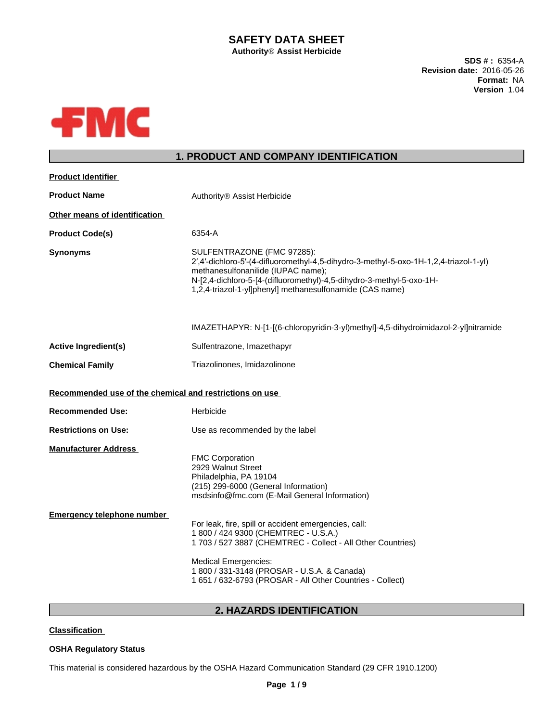# **SAFETY DATA SHEET**

**AuthorityÒAssist Herbicide**

**SDS # :** 6354-A **Revision date:** 2016-05-26 **Format:** NA **Version** 1.04



# **1. PRODUCT AND COMPANY IDENTIFICATION**

| <b>Product Identifier</b>                                        |                                                                                                                                                                                                                                                                                                        |
|------------------------------------------------------------------|--------------------------------------------------------------------------------------------------------------------------------------------------------------------------------------------------------------------------------------------------------------------------------------------------------|
| <b>Product Name</b>                                              | Authority <sup>®</sup> Assist Herbicide                                                                                                                                                                                                                                                                |
| Other means of identification                                    |                                                                                                                                                                                                                                                                                                        |
| <b>Product Code(s)</b>                                           | 6354-A                                                                                                                                                                                                                                                                                                 |
| <b>Synonyms</b>                                                  | SULFENTRAZONE (FMC 97285):<br>2',4'-dichloro-5'-(4-difluoromethyl-4,5-dihydro-3-methyl-5-oxo-1H-1,2,4-triazol-1-yl)<br>methanesulfonanilide (IUPAC name);<br>N-[2,4-dichloro-5-[4-(difluoromethyl)-4,5-dihydro-3-methyl-5-oxo-1H-<br>1,2,4-triazol-1-yl]phenyl] methanesulfonamide (CAS name)          |
|                                                                  | IMAZETHAPYR: N-[1-[(6-chloropyridin-3-yl)methyl]-4,5-dihydroimidazol-2-yl]nitramide                                                                                                                                                                                                                    |
| <b>Active Ingredient(s)</b>                                      | Sulfentrazone, Imazethapyr                                                                                                                                                                                                                                                                             |
| <b>Chemical Family</b>                                           | Triazolinones, Imidazolinone                                                                                                                                                                                                                                                                           |
| Recommended use of the chemical and restrictions on use          |                                                                                                                                                                                                                                                                                                        |
| <b>Recommended Use:</b>                                          | Herbicide                                                                                                                                                                                                                                                                                              |
| <b>Restrictions on Use:</b>                                      | Use as recommended by the label                                                                                                                                                                                                                                                                        |
| <b>Manufacturer Address</b><br><b>Emergency telephone number</b> | <b>FMC Corporation</b><br>2929 Walnut Street<br>Philadelphia, PA 19104<br>(215) 299-6000 (General Information)<br>msdsinfo@fmc.com (E-Mail General Information)                                                                                                                                        |
|                                                                  | For leak, fire, spill or accident emergencies, call:<br>1 800 / 424 9300 (CHEMTREC - U.S.A.)<br>1 703 / 527 3887 (CHEMTREC - Collect - All Other Countries)<br><b>Medical Emergencies:</b><br>1 800 / 331-3148 (PROSAR - U.S.A. & Canada)<br>1 651 / 632-6793 (PROSAR - All Other Countries - Collect) |
|                                                                  |                                                                                                                                                                                                                                                                                                        |

# **2. HAZARDS IDENTIFICATION**

**Classification**

# **OSHA Regulatory Status**

This material is considered hazardous by the OSHA Hazard Communication Standard (29 CFR 1910.1200)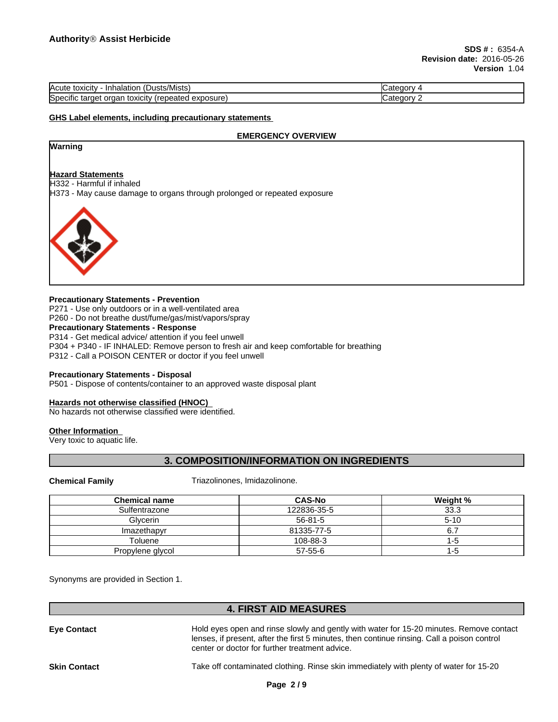| $\cdots$<br>(Dusts/Mists)<br>Acute<br>toxicity<br><b>Inhalation</b>          | ″ atedory۔ |
|------------------------------------------------------------------------------|------------|
| $\cdot$<br>exposure)<br>organ<br>target<br>toxicity<br>(repeated<br>Specific | Cateαorv   |

### **GHS Label elements, including precautionary statements**

#### **EMERGENCY OVERVIEW**

# **Warning**

# **Hazard Statements**

H332 - Harmful if inhaled

H373 - May cause damage to organs through prolonged or repeated exposure



#### **Precautionary Statements - Prevention**

P271 - Use only outdoors or in a well-ventilated area P260 - Do not breathe dust/fume/gas/mist/vapors/spray

# **Precautionary Statements - Response**

P314 - Get medical advice/ attention if you feel unwell P304 + P340 - IF INHALED: Remove person to fresh air and keep comfortable for breathing P312 - Call a POISON CENTER or doctor if you feel unwell

#### **Precautionary Statements - Disposal**

P501 - Dispose of contents/container to an approved waste disposal plant

#### **Hazards not otherwise classified (HNOC)**

No hazards not otherwise classified were identified.

#### **Other Information**

Very toxic to aquatic life.

# **3. COMPOSITION/INFORMATION ON INGREDIENTS**

**Chemical Family** Triazolinones, Imidazolinone.

| <b>Chemical name</b> | <b>CAS-No</b> | Weight % |
|----------------------|---------------|----------|
| Sulfentrazone        | 122836-35-5   | 33.3     |
| Glvcerin             | $56 - 81 - 5$ | $5 - 10$ |
| Imazethapyr          | 81335-77-5    |          |
| Toluene              | 108-88-3      | -5       |
| Propylene glycol     | $57 - 55 - 6$ | -0       |

Synonyms are provided in Section 1.

## **4. FIRST AID MEASURES**

**Eye Contact** Hold eyes open and rinse slowly and gently with water for 15-20 minutes. Remove contact lenses, if present, after the first 5 minutes, then continue rinsing. Call a poison control center or doctor for further treatment advice. **Skin Contact** Take off contaminated clothing. Rinse skin immediately with plenty of water for 15-20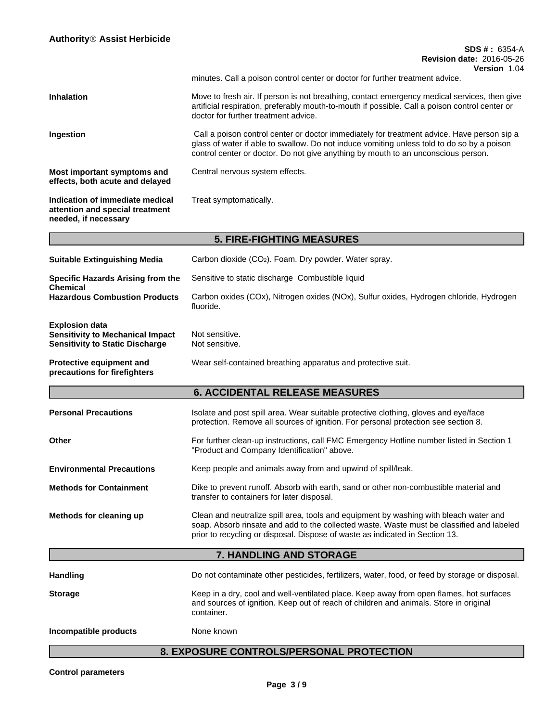# **SDS # :** 6354-A **Revision date:** 2016-05-26 **Version** 1.04 minutes. Call a poison control center or doctor for further treatment advice. **Inhalation** Move to fresh air. If person is not breathing, contact emergency medical services, then give artificial respiration, preferably mouth-to-mouth if possible. Call a poison control center or doctor for further treatment advice. **Ingestion** Call a poison control center or doctor immediately for treatment advice. Have person sip a glass of water if able to swallow. Do not induce vomiting unless told to do so by a poison control center or doctor. Do not give anything by mouth to an unconscious person. **Most important symptoms and effects, both acute and delayed** Central nervous system effects. **Indication of immediate medical attention and special treatment needed, if necessary** Treat symptomatically. **5. FIRE-FIGHTING MEASURES Suitable Extinguishing Media** Carbon dioxide (CO2). Foam. Dry powder. Water spray. **Specific Hazards Arising from the Chemical** Sensitive to static discharge Combustible liquid **Hazardous Combustion Products** Carbon oxides (COx), Nitrogen oxides (NOx), Sulfur oxides, Hydrogen chloride, Hydrogen fluoride. **Explosion data Sensitivity to Mechanical Impact** Not sensitive. **Sensitivity to Static Discharge Not sensitive. Protective equipment and precautions for firefighters** Wear self-contained breathing apparatus and protective suit. **6. ACCIDENTAL RELEASE MEASURES Personal Precautions** Isolate and post spill area. Wear suitable protective clothing, gloves and eye/face protection. Remove all sources of ignition. For personal protection see section 8. **Other For further clean-up instructions, call FMC Emergency Hotline number listed in Section 1** "Product and Company Identification" above. **Environmental Precautions** Keep people and animals away from and upwind of spill/leak. **Methods for Containment** Dike to prevent runoff. Absorb with earth, sand or other non-combustible material and transfer to containers for later disposal. **Methods for cleaning up** Clean and neutralize spill area, tools and equipment by washing with bleach water and soap. Absorb rinsate and add to the collected waste. Waste must be classified and labeled prior to recycling or disposal. Dispose of waste as indicated in Section 13.**7. HANDLING AND STORAGE** Handling **Handling Do not contaminate other pesticides**, fertilizers, water, food, or feed by storage or disposal. **Storage** Keep in a dry, cool and well-ventilated place. Keep away from open flames, hot surfaces and sources of ignition. Keep out of reach of children and animals. Store in original container. **Incompatible products** None known

# **8. EXPOSURE CONTROLS/PERSONAL PROTECTION**

**Control parameters**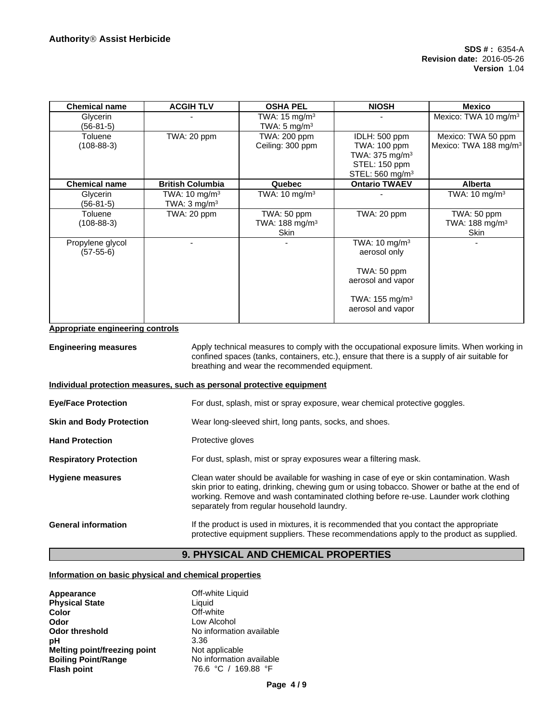| <b>Chemical name</b>            | <b>ACGIH TLV</b>                                    | <b>OSHA PEL</b>                                         | <b>NIOSH</b>                                                                                               | <b>Mexico</b>                                           |
|---------------------------------|-----------------------------------------------------|---------------------------------------------------------|------------------------------------------------------------------------------------------------------------|---------------------------------------------------------|
| Glycerin<br>$(56-81-5)$         |                                                     | TWA: $15 \text{ mg/m}^3$<br>TWA: $5 \text{ mg/m}^3$     |                                                                                                            | Mexico: TWA 10 mg/m <sup>3</sup>                        |
| Toluene<br>$(108-88-3)$         | TWA: 20 ppm                                         | TWA: 200 ppm<br>Ceiling: 300 ppm                        | IDLH: 500 ppm<br>TWA: 100 ppm<br>TWA: $375 \text{ mg/m}^3$<br>STEL: 150 ppm<br>STEL: 560 mg/m <sup>3</sup> | Mexico: TWA 50 ppm<br>Mexico: TWA 188 mg/m <sup>3</sup> |
| <b>Chemical name</b>            | <b>British Columbia</b>                             | Quebec                                                  | <b>Ontario TWAEV</b>                                                                                       | <b>Alberta</b>                                          |
| Glycerin<br>$(56-81-5)$         | TWA: $10 \text{ mg/m}^3$<br>TWA: $3 \text{ mg/m}^3$ | TWA: $10 \text{ mg/m}^3$                                |                                                                                                            | TWA: 10 mg/m $3$                                        |
| Toluene<br>$(108 - 88 - 3)$     | TWA: 20 ppm                                         | TWA: 50 ppm<br>TWA: $188 \text{ mg/m}^3$<br><b>Skin</b> | TWA: 20 ppm                                                                                                | TWA: 50 ppm<br>TWA: $188 \text{ mg/m}^3$<br>Skin        |
| Propylene glycol<br>$(57-55-6)$ |                                                     |                                                         | TWA: $10 \text{ mg/m}^3$<br>aerosol only                                                                   |                                                         |
|                                 |                                                     |                                                         | $TWA: 50$ ppm<br>aerosol and vapor                                                                         |                                                         |
|                                 |                                                     |                                                         | TWA: $155 \text{ mg/m}^3$<br>aerosol and vapor                                                             |                                                         |

**Appropriate engineering controls**

**Engineering measures** Apply technical measures to comply with the occupational exposure limits. When working in confined spaces (tanks, containers, etc.), ensure that there is a supply of air suitable for breathing and wear the recommended equipment.

#### **Individual protection measures, such as personal protective equipment**

**Eye/Face Protection** For dust, splash, mist or spray exposure, wear chemical protective goggles.

**Skin and Body Protection** Wear long-sleeved shirt, long pants, socks, and shoes.

Hand Protection **Protective gloves** 

**Respiratory Protection** For dust, splash, mist or spray exposures wear a filtering mask.

| <b>Hygiene measures</b> | Clean water should be available for washing in case of eye or skin contamination. Wash<br>skin prior to eating, drinking, chewing gum or using tobacco. Shower or bathe at the end of<br>working. Remove and wash contaminated clothing before re-use. Launder work clothing<br>separately from regular household laundry. |
|-------------------------|----------------------------------------------------------------------------------------------------------------------------------------------------------------------------------------------------------------------------------------------------------------------------------------------------------------------------|
|                         |                                                                                                                                                                                                                                                                                                                            |

## **General information** If the product is used in mixtures, it is recommended that you contact the appropriate protective equipment suppliers. These recommendations apply to the product as supplied.

# **9. PHYSICAL AND CHEMICAL PROPERTIES**

### **Information on basic physical and chemical properties**

| Appearance<br><b>Physical State</b> | Off-white Liquid<br>Liquid |
|-------------------------------------|----------------------------|
| Color                               | Off-white                  |
| Odor                                | Low Alcohol                |
| <b>Odor threshold</b>               | No information available   |
| рH                                  | 3.36                       |
| Melting point/freezing point        | Not applicable             |
| <b>Boiling Point/Range</b>          | No information available   |
| <b>Flash point</b>                  | 76.6 °C / 169.88 °F        |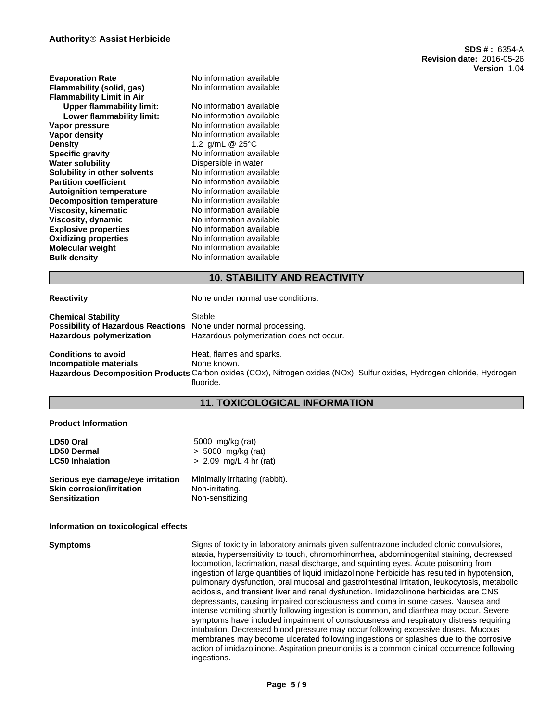| <b>Evaporation Rate</b>          | No information available |
|----------------------------------|--------------------------|
| Flammability (solid, gas)        | No information available |
| <b>Flammability Limit in Air</b> |                          |
| <b>Upper flammability limit:</b> | No information available |
| Lower flammability limit:        | No information available |
| Vapor pressure                   | No information available |
| Vapor density                    | No information available |
| <b>Density</b>                   | 1.2 g/mL @ 25°C          |
| <b>Specific gravity</b>          | No information available |
| <b>Water solubility</b>          | Dispersible in water     |
| Solubility in other solvents     | No information available |
| <b>Partition coefficient</b>     | No information available |
| <b>Autoignition temperature</b>  | No information available |
| <b>Decomposition temperature</b> | No information available |
| Viscosity, kinematic             | No information available |
| Viscosity, dynamic               | No information available |
| <b>Explosive properties</b>      | No information available |
| <b>Oxidizing properties</b>      | No information available |
| <b>Molecular weight</b>          | No information available |
| <b>Bulk density</b>              | No information available |
|                                  |                          |

# **10. STABILITY AND REACTIVITY**

**Reactivity Reactivity None under normal use conditions.** 

| <b>Chemical Stability</b>          | Stable.                                  |
|------------------------------------|------------------------------------------|
| Possibility of Hazardous Reactions | None under normal processing.            |
| <b>Hazardous polymerization</b>    | Hazardous polymerization does not occur. |
| Conditions to avoid                | Heat, flames and sparks.                 |
| Incompatible materials             | None known.                              |

**Incompatible materials** None known. **Hazardous Decomposition Products** Carbon oxides (COx), Nitrogen oxides (NOx), Sulfur oxides, Hydrogen chloride, Hydrogen fluoride.

# **11. TOXICOLOGICAL INFORMATION**

#### **Product Information**

| LD50 Oral                         | 5000 mg/kg (rat)               |  |
|-----------------------------------|--------------------------------|--|
| <b>LD50 Dermal</b>                | $> 5000$ mg/kg (rat)           |  |
| <b>LC50 Inhalation</b>            | $> 2.09$ mg/L 4 hr (rat)       |  |
| Serious eye damage/eye irritation | Minimally irritating (rabbit). |  |
| <b>Skin corrosion/irritation</b>  | Non-irritating.                |  |
| <b>Sensitization</b>              | Non-sensitizing                |  |

#### **Information on toxicological effects**

**Symptoms** Signs of toxicity in laboratory animals given sulfentrazone included clonic convulsions, ataxia, hypersensitivity to touch, chromorhinorrhea, abdominogenital staining, decreased locomotion, lacrimation, nasal discharge, and squinting eyes. Acute poisoning from ingestion of large quantities of liquid imidazolinone herbicide has resulted in hypotension, pulmonary dysfunction, oral mucosal and gastrointestinal irritation, leukocytosis, metabolic acidosis, and transient liver and renal dysfunction. Imidazolinone herbicides are CNS depressants, causing impaired consciousness and coma in some cases. Nausea and intense vomiting shortly following ingestion is common, and diarrhea may occur. Severe symptoms have included impairment of consciousness and respiratory distress requiring intubation. Decreased blood pressure may occur following excessive doses. Mucous membranes may become ulcerated following ingestions or splashes due to the corrosive action of imidazolinone. Aspiration pneumonitis is a common clinical occurrence following ingestions.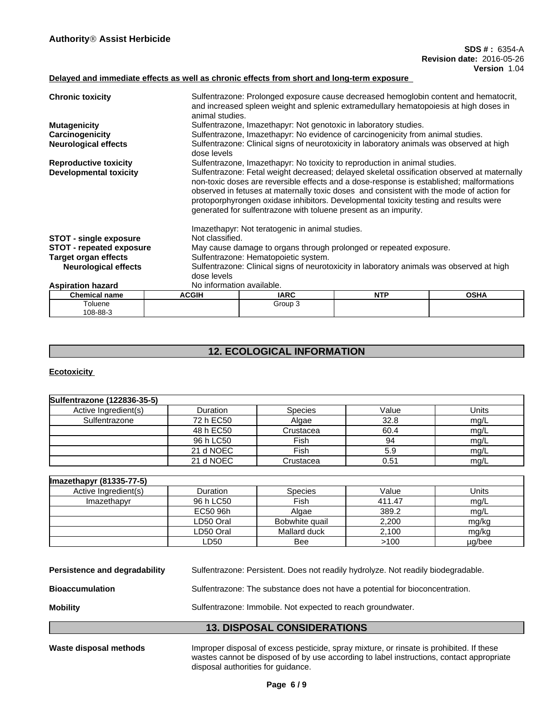# **Delayed and immediate effects as well as chronic effects from short and long-term exposure**

| <b>Chronic toxicity</b>         |                           | Sulfentrazone: Prolonged exposure cause decreased hemoglobin content and hematocrit,<br>and increased spleen weight and splenic extramedullary hematopoiesis at high doses in<br>animal studies.                                                                                                                                                                                                                                                 |            |             |  |  |
|---------------------------------|---------------------------|--------------------------------------------------------------------------------------------------------------------------------------------------------------------------------------------------------------------------------------------------------------------------------------------------------------------------------------------------------------------------------------------------------------------------------------------------|------------|-------------|--|--|
| <b>Mutagenicity</b>             |                           | Sulfentrazone, Imazethapyr: Not genotoxic in laboratory studies.                                                                                                                                                                                                                                                                                                                                                                                 |            |             |  |  |
| Carcinogenicity                 |                           | Sulfentrazone, Imazethapyr: No evidence of carcinogenicity from animal studies.                                                                                                                                                                                                                                                                                                                                                                  |            |             |  |  |
| <b>Neurological effects</b>     | dose levels               | Sulfentrazone: Clinical signs of neurotoxicity in laboratory animals was observed at high                                                                                                                                                                                                                                                                                                                                                        |            |             |  |  |
| <b>Reproductive toxicity</b>    |                           | Sulfentrazone, Imazethapyr: No toxicity to reproduction in animal studies.                                                                                                                                                                                                                                                                                                                                                                       |            |             |  |  |
| <b>Developmental toxicity</b>   |                           | Sulfentrazone: Fetal weight decreased; delayed skeletal ossification observed at maternally<br>non-toxic doses are reversible effects and a dose-response is established; malformations<br>observed in fetuses at maternally toxic doses and consistent with the mode of action for<br>protoporphyrongen oxidase inhibitors. Developmental toxicity testing and results were<br>generated for sulfentrazone with toluene present as an impurity. |            |             |  |  |
|                                 |                           | Imazethapyr: Not teratogenic in animal studies.                                                                                                                                                                                                                                                                                                                                                                                                  |            |             |  |  |
| <b>STOT - single exposure</b>   |                           | Not classified.                                                                                                                                                                                                                                                                                                                                                                                                                                  |            |             |  |  |
| <b>STOT - repeated exposure</b> |                           | May cause damage to organs through prolonged or repeated exposure.                                                                                                                                                                                                                                                                                                                                                                               |            |             |  |  |
| <b>Target organ effects</b>     |                           | Sulfentrazone: Hematopoietic system.                                                                                                                                                                                                                                                                                                                                                                                                             |            |             |  |  |
| <b>Neurological effects</b>     |                           | Sulfentrazone: Clinical signs of neurotoxicity in laboratory animals was observed at high                                                                                                                                                                                                                                                                                                                                                        |            |             |  |  |
|                                 | dose levels               |                                                                                                                                                                                                                                                                                                                                                                                                                                                  |            |             |  |  |
| <b>Aspiration hazard</b>        | No information available. |                                                                                                                                                                                                                                                                                                                                                                                                                                                  |            |             |  |  |
| <b>Chemical name</b>            | <b>ACGIH</b>              | <b>IARC</b>                                                                                                                                                                                                                                                                                                                                                                                                                                      | <b>NTP</b> | <b>OSHA</b> |  |  |
| Toluene<br>108-88-3             |                           | Group 3                                                                                                                                                                                                                                                                                                                                                                                                                                          |            |             |  |  |

# **12. ECOLOGICAL INFORMATION**

**Ecotoxicity** 

| Sulfentrazone (122836-35-5) |           |                |       |       |
|-----------------------------|-----------|----------------|-------|-------|
| Active Ingredient(s)        | Duration  | <b>Species</b> | Value | Units |
| Sulfentrazone               | 72 h EC50 | Algae          | 32.8  | mg/L  |
|                             | 48 h EC50 | Crustacea      | 60.4  | mg/L  |
|                             | 96 h LC50 | Fish           | 94    | mq/L  |
|                             | 21 d NOEC | Fish           | 5.9   | mg/L  |
|                             | 21 d NOEC | Crustacea      | 0.51  | mg/L  |

| Imazethapyr (81335-77-5) |                 |                |        |        |
|--------------------------|-----------------|----------------|--------|--------|
| Active Ingredient(s)     | <b>Duration</b> | <b>Species</b> | Value  | Units  |
| Imazethapyr              | 96 h LC50       | Fish           | 411.47 | mg/L   |
|                          | EC50 96h        | Algae          | 389.2  | mg/L   |
|                          | LD50 Oral       | Bobwhite quail | 2,200  | mg/kg  |
|                          | ∟D50 Oral       | Mallard duck   | 2.100  | mg/kg  |
|                          | LD50            | Bee            | >100   | µg/bee |

|                               | <b>13. DISPOSAL CONSIDERATIONS</b>                                                |
|-------------------------------|-----------------------------------------------------------------------------------|
| <b>Mobility</b>               | Sulfentrazone: Immobile. Not expected to reach groundwater.                       |
| <b>Bioaccumulation</b>        | Sulfentrazone: The substance does not have a potential for bioconcentration.      |
| Persistence and degradability | Sulfentrazone: Persistent. Does not readily hydrolyze. Not readily biodegradable. |

Waste disposal methods **Improper disposal of excess pesticide**, spray mixture, or rinsate is prohibited. If these wastes cannot be disposed of by use according to label instructions, contact appropriate disposal authorities for guidance.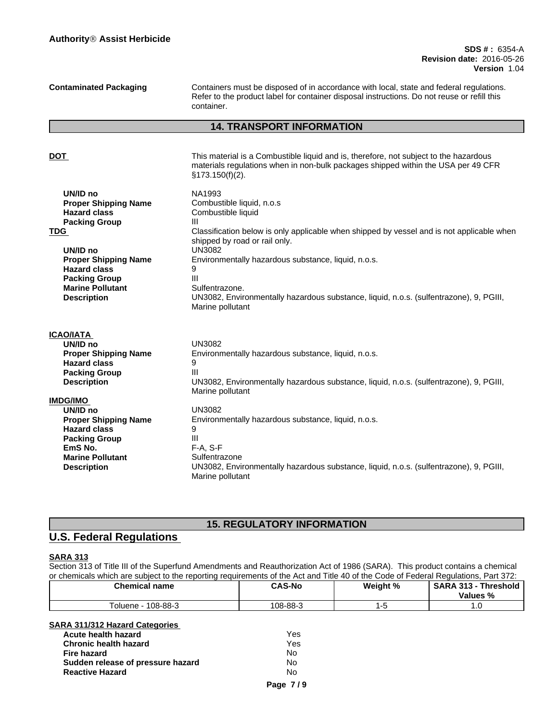## **SDS # :** 6354-A **Revision date:** 2016-05-26 **Version** 1.04

**Contaminated Packaging** Containers must be disposed of in accordance with local, state and federal regulations. Refer to the product label for container disposal instructions. Do not reuse or refill this container.

# **14. TRANSPORT INFORMATION**

| DOT                                             | This material is a Combustible liquid and is, therefore, not subject to the hazardous                                      |
|-------------------------------------------------|----------------------------------------------------------------------------------------------------------------------------|
|                                                 | materials regulations when in non-bulk packages shipped within the USA per 49 CFR<br>§173.150(f)(2).                       |
| UN/ID no                                        | NA1993                                                                                                                     |
| <b>Proper Shipping Name</b>                     | Combustible liquid, n.o.s.                                                                                                 |
| <b>Hazard class</b>                             | Combustible liquid                                                                                                         |
| <b>Packing Group</b>                            | III                                                                                                                        |
| TDG                                             | Classification below is only applicable when shipped by vessel and is not applicable when<br>shipped by road or rail only. |
| UN/ID no                                        | <b>UN3082</b>                                                                                                              |
| <b>Proper Shipping Name</b>                     | Environmentally hazardous substance, liquid, n.o.s.                                                                        |
| <b>Hazard class</b>                             | III                                                                                                                        |
| <b>Packing Group</b><br><b>Marine Pollutant</b> | Sulfentrazone.                                                                                                             |
| <b>Description</b>                              | UN3082, Environmentally hazardous substance, liquid, n.o.s. (sulfentrazone), 9, PGIII,<br>Marine pollutant                 |
| ICAO/IATA                                       |                                                                                                                            |
| UN/ID no                                        | <b>UN3082</b>                                                                                                              |
| <b>Proper Shipping Name</b>                     | Environmentally hazardous substance, liquid, n.o.s.                                                                        |
| <b>Hazard class</b>                             | 9                                                                                                                          |
| <b>Packing Group</b>                            | Ш                                                                                                                          |
| <b>Description</b>                              | UN3082, Environmentally hazardous substance, liquid, n.o.s. (sulfentrazone), 9, PGIII,<br>Marine pollutant                 |
| <b>IMDG/IMO</b>                                 |                                                                                                                            |
| UN/ID no                                        | <b>UN3082</b>                                                                                                              |
| <b>Proper Shipping Name</b>                     | Environmentally hazardous substance, liquid, n.o.s.                                                                        |
| <b>Hazard class</b>                             | 9                                                                                                                          |
| <b>Packing Group</b>                            | Ш                                                                                                                          |
| EmS No.                                         | $F-A, S-F$                                                                                                                 |
| <b>Marine Pollutant</b>                         | Sulfentrazone                                                                                                              |
| <b>Description</b>                              | UN3082, Environmentally hazardous substance, liquid, n.o.s. (sulfentrazone), 9, PGIII,<br>Marine pollutant                 |
|                                                 |                                                                                                                            |

# **15. REGULATORY INFORMATION**

# **U.S. Federal Regulations**

# **SARA 313**

Section 313 of Title III of the Superfund Amendments and Reauthorization Act of 1986 (SARA). This product contains a chemical or chemicals which are subject to the reporting requirements of the Act and Title 40 of the Code of Federal Regulations, Part 372:

| <b>Chemical name</b> | <b>CAS-No</b> | Weight % | <b>SARA 313</b><br><b>Threshold</b><br>Values % |
|----------------------|---------------|----------|-------------------------------------------------|
| 108-88-3<br>oluene   | 108-88-3      |          |                                                 |

# **SARA 311/312 Hazard Categories**

| Acute health hazard               | Yes |
|-----------------------------------|-----|
| <b>Chronic health hazard</b>      | Yes |
| Fire hazard                       | No  |
| Sudden release of pressure hazard | N٥  |
| <b>Reactive Hazard</b>            | No  |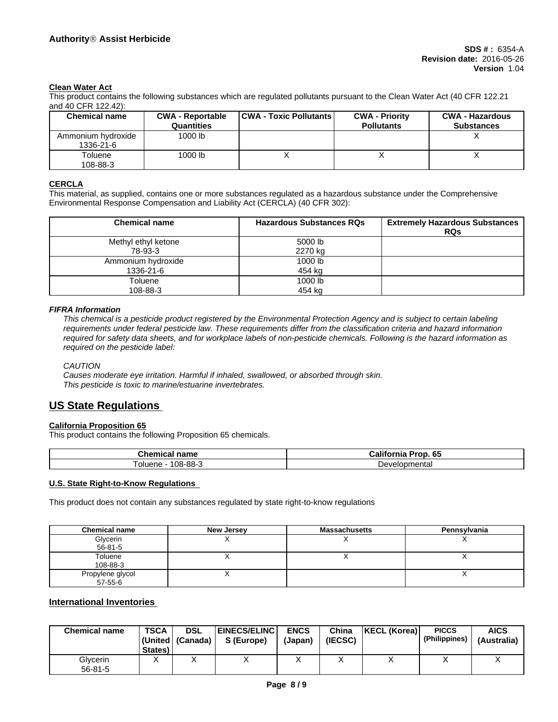## **Clean Water Act**

This product contains the following substances which are regulated pollutants pursuant to the Clean Water Act (40 CFR 122.21 and 40 CFR 122.42):

| <b>Chemical name</b>            | <b>CWA - Reportable</b><br><b>Quantities</b> | <b>CWA - Toxic Pollutants</b> | <b>CWA - Priority</b><br><b>Pollutants</b> | <b>CWA - Hazardous</b><br><b>Substances</b> |
|---------------------------------|----------------------------------------------|-------------------------------|--------------------------------------------|---------------------------------------------|
| Ammonium hydroxide<br>1336-21-6 | 1000 lb                                      |                               |                                            |                                             |
| Toluene<br>108-88-3             | 1000 lb                                      |                               |                                            |                                             |

# **CERCLA**

This material, as supplied, contains one or more substances regulated as a hazardous substance under the Comprehensive Environmental Response Compensation and Liability Act (CERCLA) (40 CFR 302):

| <b>Chemical name</b> | <b>Hazardous Substances RQs</b> | <b>Extremely Hazardous Substances</b><br><b>RQs</b> |
|----------------------|---------------------------------|-----------------------------------------------------|
| Methyl ethyl ketone  | 5000 lb                         |                                                     |
| 78-93-3              | 2270 kg                         |                                                     |
| Ammonium hydroxide   | 1000 lb                         |                                                     |
| 1336-21-6            | 454 kg                          |                                                     |
| Toluene              | 1000 lb                         |                                                     |
| 108-88-3             | 454 kg                          |                                                     |

### *FIFRA Information*

This chemical is a pesticide product registered by the Environmental Protection Agency and is subject to certain labeling requirements under federal pesticide law. These requirements differ from the classification criteria and hazard information required for safety data sheets, and for workplace labels of non-pesticide chemicals. Following is the hazard information as *required on the pesticide label:*

#### *CAUTION*

*Causes moderate eye irritation. Harmful if inhaled, swallowed, or absorbed through skin. This pesticide is toxic to marine/estuarine invertebrates.*

# **US State Regulations**

# **California Proposition 65**

This product contains the following Proposition 65 chemicals.

| $\sim$<br>hemical nameٽ                     | <br>65<br>Prop<br><b>aliforr</b> '<br>ा।।∂ |
|---------------------------------------------|--------------------------------------------|
| ററ<br>oo g<br><b>lene</b><br>olue<br>uo-oo- | Developmental                              |

## **U.S. State Right-to-Know Regulations**

This product does not contain any substances regulated by state right-to-know regulations

| <b>Chemical name</b>              | New Jersey | <b>Massachusetts</b> | Pennsylvania |
|-----------------------------------|------------|----------------------|--------------|
| Glycerin<br>$56 - 81 - 5$         |            |                      |              |
| Toluene<br>108-88-3               |            |                      | $\lambda$    |
| Propylene glycol<br>$57 - 55 - 6$ |            |                      |              |

## **International Inventories**

| <b>Chemical name</b>      | <b>TSCA</b><br>States) | <b>DSL</b><br>(United   (Canada) | <b>EINECS/ELINC</b><br>S (Europe) | <b>ENCS</b><br>(Japan) | China<br>(IECSC) | <b>KECL (Korea)</b> | <b>PICCS</b><br>(Philippines) | <b>AICS</b><br>(Australia) |
|---------------------------|------------------------|----------------------------------|-----------------------------------|------------------------|------------------|---------------------|-------------------------------|----------------------------|
| Glycerin<br>$56 - 81 - 5$ |                        |                                  | ↗                                 |                        |                  |                     |                               | $\lambda$                  |